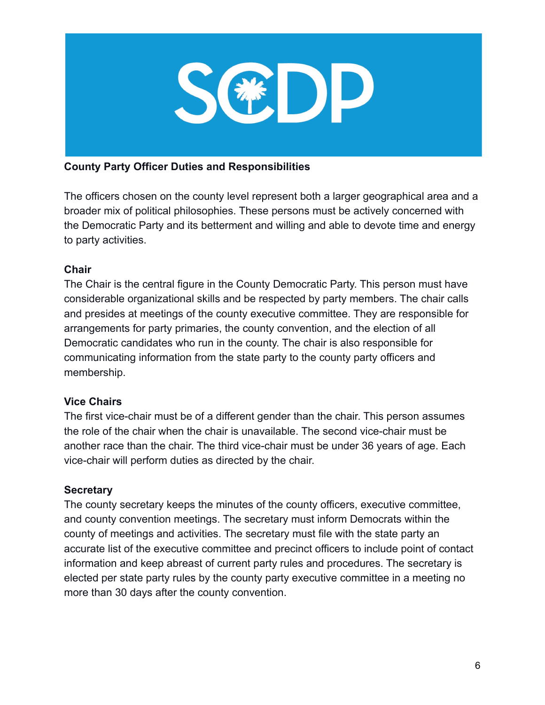

## **County Party Officer Duties and Responsibilities**

The officers chosen on the county level represent both a larger geographical area and a broader mix of political philosophies. These persons must be actively concerned with the Democratic Party and its betterment and willing and able to devote time and energy to party activities.

## **Chair**

The Chair is the central figure in the County Democratic Party. This person must have considerable organizational skills and be respected by party members. The chair calls and presides at meetings of the county executive committee. They are responsible for arrangements for party primaries, the county convention, and the election of all Democratic candidates who run in the county. The chair is also responsible for communicating information from the state party to the county party officers and membership.

# **Vice Chairs**

The first vice-chair must be of a different gender than the chair. This person assumes the role of the chair when the chair is unavailable. The second vice-chair must be another race than the chair. The third vice-chair must be under 36 years of age. Each vice-chair will perform duties as directed by the chair.

## **Secretary**

The county secretary keeps the minutes of the county officers, executive committee, and county convention meetings. The secretary must inform Democrats within the county of meetings and activities. The secretary must file with the state party an accurate list of the executive committee and precinct officers to include point of contact information and keep abreast of current party rules and procedures. The secretary is elected per state party rules by the county party executive committee in a meeting no more than 30 days after the county convention.